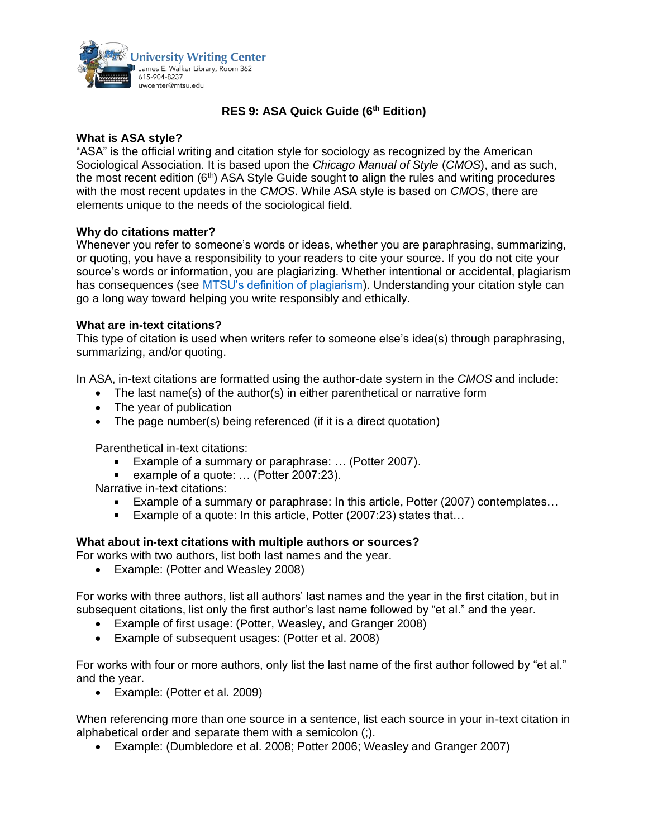

# **RES 9: ASA Quick Guide (6th Edition)**

# **What is ASA style?**

"ASA" is the official writing and citation style for sociology as recognized by the American Sociological Association. It is based upon the *Chicago Manual of Style* (*CMOS*), and as such, the most recent edition  $(6<sup>th</sup>)$  ASA Style Guide sought to align the rules and writing procedures with the most recent updates in the *CMOS*. While ASA style is based on *CMOS*, there are elements unique to the needs of the sociological field.

# **Why do citations matter?**

Whenever you refer to someone's words or ideas, whether you are paraphrasing, summarizing, or quoting, you have a responsibility to your readers to cite your source. If you do not cite your source's words or information, you are plagiarizing. Whether intentional or accidental, plagiarism has consequences (see [MTSU's definition of plagiarism\)](https://www.mtsu.edu/provost/academic-integrity.php). Understanding your citation style can go a long way toward helping you write responsibly and ethically.

# **What are in-text citations?**

This type of citation is used when writers refer to someone else's idea(s) through paraphrasing, summarizing, and/or quoting.

In ASA, in-text citations are formatted using the author-date system in the *CMOS* and include:

- The last name(s) of the author(s) in either parenthetical or narrative form
- The year of publication
- The page number(s) being referenced (if it is a direct quotation)

Parenthetical in-text citations:

- Example of a summary or paraphrase: ... (Potter 2007).
- example of a quote: … (Potter 2007:23).

Narrative in-text citations:

- Example of a summary or paraphrase: In this article, Potter (2007) contemplates…
- Example of a quote: In this article, Potter (2007:23) states that...

#### **What about in-text citations with multiple authors or sources?**

- For works with two authors, list both last names and the year.
	- Example: (Potter and Weasley 2008)

For works with three authors, list all authors' last names and the year in the first citation, but in subsequent citations, list only the first author's last name followed by "et al." and the year.

- Example of first usage: (Potter, Weasley, and Granger 2008)
- Example of subsequent usages: (Potter et al. 2008)

For works with four or more authors, only list the last name of the first author followed by "et al." and the year.

• Example: (Potter et al. 2009)

When referencing more than one source in a sentence, list each source in your in-text citation in alphabetical order and separate them with a semicolon (;).

• Example: (Dumbledore et al. 2008; Potter 2006; Weasley and Granger 2007)